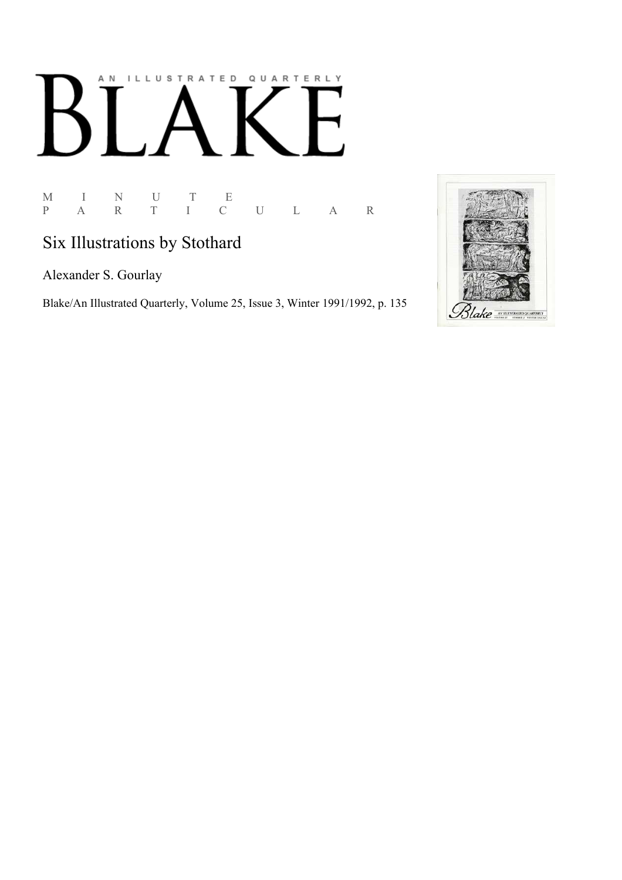## AN ILLUSTRATED QUARTERLY K

 $\begin{array}{ccccccccc} \mathbf{M} & & \mathbf{I} & & \mathbf{N} & & \mathbf{U} & & \mathbf{T} & & \mathbf{E} \\ \mathbf{P} & & \mathbf{A} & & \mathbf{R} & & \mathbf{T} & & \mathbf{I} & & \mathbf{C} \end{array}$ P A R T I C U L A R

## Six Illustrations by Stothard

Alexander S. Gourlay

Blake/An Illustrated Quarterly, Volume 25, Issue 3, Winter 1991/1992, p. 135